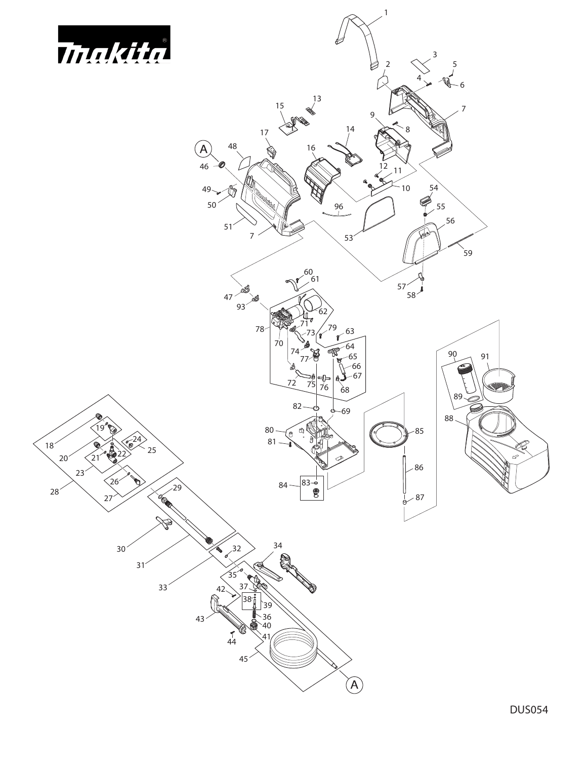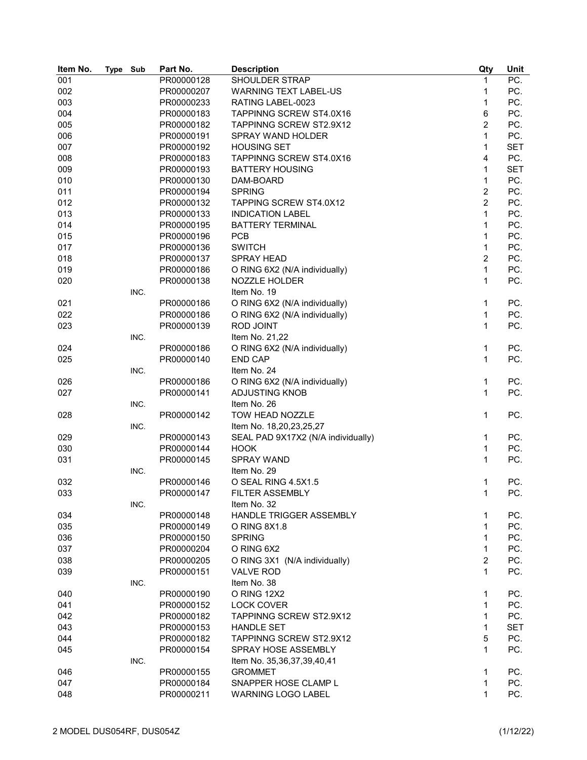| Item No. | Type Sub |      | Part No.                 | <b>Description</b>                 | Qty            | Unit              |
|----------|----------|------|--------------------------|------------------------------------|----------------|-------------------|
| 001      |          |      | PR00000128               | <b>SHOULDER STRAP</b>              | $\mathbf{1}$   | $\overline{PC}$ . |
| 002      |          |      | PR00000207               | <b>WARNING TEXT LABEL-US</b>       | 1              | PC.               |
| 003      |          |      | PR00000233               | RATING LABEL-0023                  | 1              | PC.               |
| 004      |          |      | PR00000183               | TAPPINNG SCREW ST4.0X16            | 6              | PC.               |
| 005      |          |      | PR00000182               | TAPPINNG SCREW ST2.9X12            | $\overline{2}$ | PC.               |
| 006      |          |      | PR00000191               | SPRAY WAND HOLDER                  | 1              | PC.               |
| 007      |          |      | PR00000192               | <b>HOUSING SET</b>                 | 1              | <b>SET</b>        |
| 008      |          |      | PR00000183               | TAPPINNG SCREW ST4.0X16            | 4              | PC.               |
| 009      |          |      | PR00000193               | <b>BATTERY HOUSING</b>             | 1              | <b>SET</b>        |
| 010      |          |      | PR00000130               | DAM-BOARD                          | $\mathbf{1}$   | PC.               |
| 011      |          |      | PR00000194               | <b>SPRING</b>                      | $\overline{c}$ | PC.               |
| 012      |          |      | PR00000132               | <b>TAPPING SCREW ST4.0X12</b>      | $\overline{2}$ | PC.               |
| 013      |          |      | PR00000133               | <b>INDICATION LABEL</b>            | 1              | PC.               |
| 014      |          |      | PR00000195               | <b>BATTERY TERMINAL</b>            | 1              | PC.               |
| 015      |          |      | PR00000196               | <b>PCB</b>                         | $\mathbf{1}$   | PC.               |
| 017      |          |      | PR00000136               | <b>SWITCH</b>                      | $\mathbf{1}$   | PC.               |
| 018      |          |      | PR00000137               | <b>SPRAY HEAD</b>                  | $\overline{c}$ | PC.               |
| 019      |          |      | PR00000186               | O RING 6X2 (N/A individually)      | $\mathbf{1}$   | PC.               |
| 020      |          |      | PR00000138               | NOZZLE HOLDER                      | $\mathbf{1}$   | PC.               |
|          |          | INC. |                          | Item No. 19                        |                |                   |
| 021      |          |      |                          |                                    | 1              | PC.               |
| 022      |          |      | PR00000186<br>PR00000186 | O RING 6X2 (N/A individually)      | 1              | PC.               |
|          |          |      |                          | O RING 6X2 (N/A individually)      | $\mathbf{1}$   |                   |
| 023      |          |      | PR00000139               | <b>ROD JOINT</b>                   |                | PC.               |
|          |          | INC. |                          | Item No. 21,22                     |                |                   |
| 024      |          |      | PR00000186               | O RING 6X2 (N/A individually)      | 1              | PC.               |
| 025      |          |      | PR00000140               | <b>END CAP</b>                     | $\mathbf{1}$   | PC.               |
|          |          | INC. |                          | Item No. 24                        |                |                   |
| 026      |          |      | PR00000186               | O RING 6X2 (N/A individually)      | 1              | PC.               |
| 027      |          |      | PR00000141               | <b>ADJUSTING KNOB</b>              | 1              | PC.               |
|          |          | INC. |                          | Item No. 26                        |                |                   |
| 028      |          |      | PR00000142               | TOW HEAD NOZZLE                    | $\mathbf{1}$   | PC.               |
|          |          | INC. |                          | Item No. 18,20,23,25,27            |                |                   |
| 029      |          |      | PR00000143               | SEAL PAD 9X17X2 (N/A individually) | 1              | PC.               |
| 030      |          |      | PR00000144               | <b>HOOK</b>                        | $\mathbf{1}$   | PC.               |
| 031      |          |      | PR00000145               | SPRAY WAND                         | 1              | PC.               |
|          |          | INC. |                          | Item No. 29                        |                |                   |
| 032      |          |      | PR00000146               | O SEAL RING 4.5X1.5                | 1              | PC.               |
| 033      |          |      | PR00000147               | FILTER ASSEMBLY                    | 1              | PC.               |
|          |          | INC. |                          | Item No. 32                        |                |                   |
| 034      |          |      | PR00000148               | HANDLE TRIGGER ASSEMBLY            | 1              | PC.               |
| 035      |          |      | PR00000149               | O RING 8X1.8                       | 1              | PC.               |
| 036      |          |      | PR00000150               | <b>SPRING</b>                      | 1              | PC.               |
| 037      |          |      | PR00000204               | O RING 6X2                         | 1              | PC.               |
| 038      |          |      | PR00000205               | O RING 3X1 (N/A individually)      | $\overline{c}$ | PC.               |
| 039      |          |      | PR00000151               | <b>VALVE ROD</b>                   | $\mathbf{1}$   | PC.               |
|          |          | INC. |                          | Item No. 38                        |                |                   |
| 040      |          |      | PR00000190               | O RING 12X2                        | 1              | PC.               |
| 041      |          |      | PR00000152               | <b>LOCK COVER</b>                  | 1              | PC.               |
| 042      |          |      | PR00000182               | TAPPINNG SCREW ST2.9X12            | 1              | PC.               |
| 043      |          |      | PR00000153               | <b>HANDLE SET</b>                  | 1              | <b>SET</b>        |
| 044      |          |      | PR00000182               | TAPPINNG SCREW ST2.9X12            | 5              | PC.               |
| 045      |          |      | PR00000154               | SPRAY HOSE ASSEMBLY                | 1              | PC.               |
|          |          | INC. |                          | Item No. 35,36,37,39,40,41         |                |                   |
| 046      |          |      | PR00000155               | <b>GROMMET</b>                     | 1              | PC.               |
| 047      |          |      | PR00000184               | SNAPPER HOSE CLAMP L               | 1              | PC.               |
| 048      |          |      | PR00000211               | WARNING LOGO LABEL                 | 1              | PC.               |
|          |          |      |                          |                                    |                |                   |